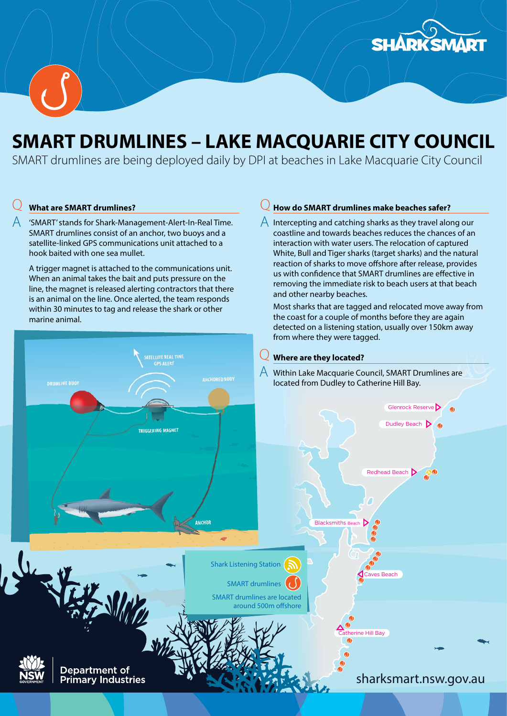



# SMART DRUMLINES – LAKE MACQUARIE CITY COUNCIL

SMART drumlines are being deployed daily by DPI at beaches in Lake Macquarie City Council

#### $\overline{Q}$ What are SMART drumlines?

A 'SMART' stands for Shark-Management-Alert-In-Real Time. SMART drumlines consist of an anchor, two buoys and a satellite-linked GPS communications unit attached to a hook baited with one sea mullet.

A trigger magnet is attached to the communications unit. When an animal takes the bait and puts pressure on the line, the magnet is released alerting contractors that there is an animal on the line. Once alerted, the team responds within 30 minutes to tag and release the shark or other marine animal.

#### $\overline{Q}$ How do SMART drumlines make beaches safer?

 $\bigwedge$  Intercepting and catching sharks as they travel along our coastline and towards beaches reduces the chances of an interaction with water users. The relocation of captured White, Bull and Tiger sharks (target sharks) and the natural reaction of sharks to move offshore after release, provides us with confidence that SMART drumlines are effective in removing the immediate risk to beach users at that beach and other nearby beaches.

Most sharks that are tagged and relocated move away from the coast for a couple of months before they are again detected on a listening station, usually over 150km away from where they were tagged.